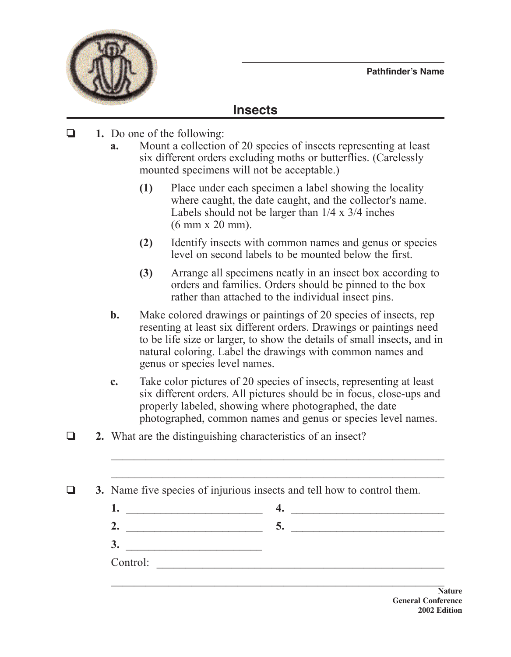

## **Insects**

- **1.** Do one of the following:
	- **a.** Mount a collection of 20 species of insects representing at least six different orders excluding moths or butterflies. (Carelessly mounted specimens will not be acceptable.)
		- **(1)** Place under each specimen a label showing the locality where caught, the date caught, and the collector's name. Labels should not be larger than 1/4 x 3/4 inches (6 mm x 20 mm).
		- **(2)** Identify insects with common names and genus or species level on second labels to be mounted below the first.
		- **(3)** Arrange all specimens neatly in an insect box according to orders and families. Orders should be pinned to the box rather than attached to the individual insect pins.
	- **b.** Make colored drawings or paintings of 20 species of insects, rep resenting at least six different orders. Drawings or paintings need to be life size or larger, to show the details of small insects, and in natural coloring. Label the drawings with common names and genus or species level names.
	- **c.** Take color pictures of 20 species of insects, representing at least six different orders. All pictures should be in focus, close-ups and properly labeled, showing where photographed, the date photographed, common names and genus or species level names.
- **2.** What are the distinguishing characteristics of an insect?

|  |  |  |  |  |  | 3. Name five species of injurious insects and tell how to control them. |
|--|--|--|--|--|--|-------------------------------------------------------------------------|
|--|--|--|--|--|--|-------------------------------------------------------------------------|

|          | $\sim$ |
|----------|--------|
| $\sim$   |        |
| Control: |        |

 $\mathcal{L}_\text{max}$  , and the contract of the contract of the contract of the contract of the contract of the contract of

 $\mathcal{L}_\text{max}$  and  $\mathcal{L}_\text{max}$  and  $\mathcal{L}_\text{max}$  and  $\mathcal{L}_\text{max}$  and  $\mathcal{L}_\text{max}$  and  $\mathcal{L}_\text{max}$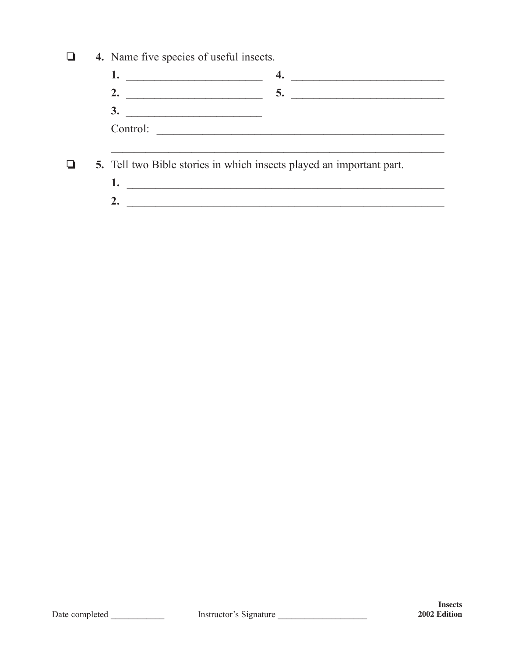$\Box$ 4. Name five species of useful insects.

 $\Box$ 5. Tell two Bible stories in which insects played an important part.

> $2.$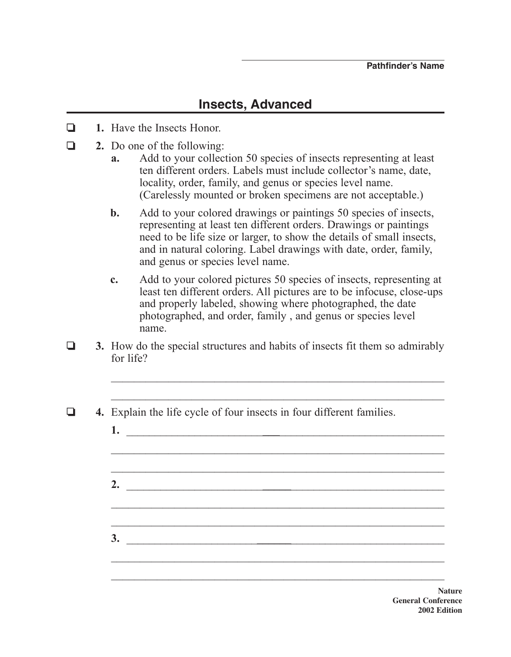## **Insects, Advanced**

- **1.** Have the Insects Honor.
- **2.** Do one of the following:
	- **a.** Add to your collection 50 species of insects representing at least ten different orders. Labels must include collector's name, date, locality, order, family, and genus or species level name. (Carelessly mounted or broken specimens are not acceptable.)
	- **b.** Add to your colored drawings or paintings 50 species of insects, representing at least ten different orders. Drawings or paintings need to be life size or larger, to show the details of small insects, and in natural coloring. Label drawings with date, order, family, and genus or species level name.
	- **c.** Add to your colored pictures 50 species of insects, representing at least ten different orders. All pictures are to be infocuse, close-ups and properly labeled, showing where photographed, the date photographed, and order, family , and genus or species level name.

 $\mathcal{L}_\text{max}$  , and the contract of the contract of the contract of the contract of the contract of the contract of the contract of the contract of the contract of the contract of the contract of the contract of the contr

- $\Box$  **3.** How do the special structures and habits of insects fit them so admirably for life?
- o **4.** Explain the life cycle of four insects in four different families.
	- **1.** \_\_\_\_\_\_\_\_\_\_\_\_\_\_\_\_\_\_\_\_\_\_\_\_**\_\_\_**\_\_\_\_\_\_\_\_\_\_\_\_\_\_\_\_\_\_\_\_\_\_\_\_\_\_\_\_\_  $\mathcal{L}_\text{max}$  , and the contract of the contract of the contract of the contract of the contract of the contract of the contract of the contract of the contract of the contract of the contract of the contract of the contr \_\_\_\_\_\_\_\_\_\_\_\_\_\_\_\_\_\_\_\_\_\_\_\_\_\_\_\_\_\_\_\_\_\_\_\_\_\_\_\_\_\_\_\_\_\_\_\_\_\_\_\_\_\_\_\_\_\_ **2.** \_\_\_\_\_\_\_\_\_\_\_\_\_\_\_\_\_\_\_\_\_\_\_\_**\_\_\_\_\_**\_\_\_\_\_\_\_\_\_\_\_\_\_\_\_\_\_\_\_\_\_\_\_\_\_\_\_  $\mathcal{L}_\text{max}$  , and the contract of the contract of the contract of the contract of the contract of the contract of the contract of the contract of the contract of the contract of the contract of the contract of the contr **3.** \_\_\_\_\_\_\_\_\_\_\_\_\_\_\_\_\_\_\_\_\_\_\_**\_\_\_\_\_\_**\_\_\_\_\_\_\_\_\_\_\_\_\_\_\_\_\_\_\_\_\_\_\_\_\_\_\_  $\mathcal{L}_\text{max}$  , and the contract of the contract of the contract of the contract of the contract of the contract of the contract of the contract of the contract of the contract of the contract of the contract of the contr

**Nature General Conference 2002 Edition**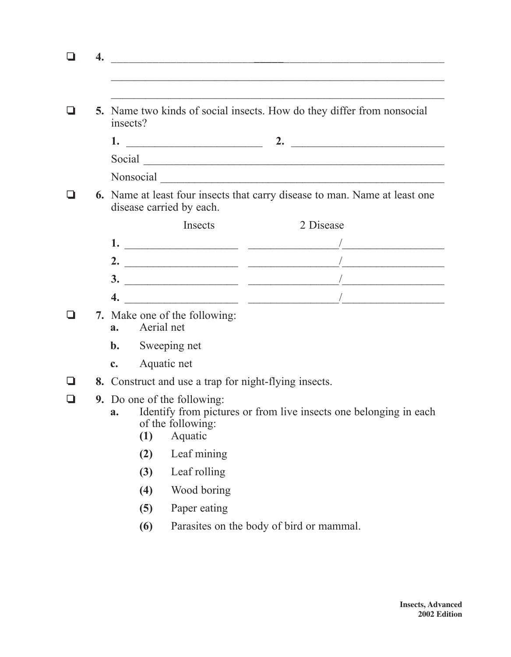| 4. |                |              | <u> 1980 - Jan Stein Berlin, Amerikaansk politiker (</u>           |                                                                                                                                                                                                                                                                                                                                                                                                                                                                          |
|----|----------------|--------------|--------------------------------------------------------------------|--------------------------------------------------------------------------------------------------------------------------------------------------------------------------------------------------------------------------------------------------------------------------------------------------------------------------------------------------------------------------------------------------------------------------------------------------------------------------|
|    |                | insects?     |                                                                    | 5. Name two kinds of social insects. How do they differ from nonsocial                                                                                                                                                                                                                                                                                                                                                                                                   |
|    |                |              |                                                                    |                                                                                                                                                                                                                                                                                                                                                                                                                                                                          |
|    |                |              |                                                                    | Social <u>Constantino and the set of the set of the set of the set of the set of the set of the set of the set of the set of the set of the set of the set of the set of the set of the set of the set of the set of the set of </u>                                                                                                                                                                                                                                     |
|    |                |              |                                                                    |                                                                                                                                                                                                                                                                                                                                                                                                                                                                          |
|    |                |              | disease carried by each.                                           | <b>6.</b> Name at least four insects that carry disease to man. Name at least one                                                                                                                                                                                                                                                                                                                                                                                        |
|    |                |              | Insects                                                            | 2 Disease                                                                                                                                                                                                                                                                                                                                                                                                                                                                |
|    |                |              |                                                                    | 1. $\overline{\phantom{a}}$ $\overline{\phantom{a}}$ $\overline{\phantom{a}}$ $\overline{\phantom{a}}$ $\overline{\phantom{a}}$ $\overline{\phantom{a}}$ $\overline{\phantom{a}}$ $\overline{\phantom{a}}$ $\overline{\phantom{a}}$ $\overline{\phantom{a}}$ $\overline{\phantom{a}}$ $\overline{\phantom{a}}$ $\overline{\phantom{a}}$ $\overline{\phantom{a}}$ $\overline{\phantom{a}}$ $\overline{\phantom{a}}$ $\overline{\phantom{a}}$ $\overline{\phantom{a}}$ $\$ |
|    |                |              |                                                                    | 2. $\frac{1}{\sqrt{1-\frac{1}{2}}}\frac{1}{\sqrt{1-\frac{1}{2}}\sqrt{1-\frac{1}{2}}\sqrt{1-\frac{1}{2}}\sqrt{1-\frac{1}{2}}\sqrt{1-\frac{1}{2}}\sqrt{1-\frac{1}{2}}\sqrt{1-\frac{1}{2}}\sqrt{1-\frac{1}{2}}\sqrt{1-\frac{1}{2}}\sqrt{1-\frac{1}{2}}\sqrt{1-\frac{1}{2}}\sqrt{1-\frac{1}{2}}\sqrt{1-\frac{1}{2}}\sqrt{1-\frac{1}{2}}\sqrt{1-\frac{1}{2}}\sqrt{1-\frac{1}{2}}\sqrt{1-\frac{1}{2}}\sqrt{1-\frac{1}{$                                                        |
|    |                |              |                                                                    |                                                                                                                                                                                                                                                                                                                                                                                                                                                                          |
|    | 4.             |              |                                                                    |                                                                                                                                                                                                                                                                                                                                                                                                                                                                          |
|    | a.             | Aerial net   | 7. Make one of the following:                                      |                                                                                                                                                                                                                                                                                                                                                                                                                                                                          |
|    | $\mathbf{b}$ . | Sweeping net |                                                                    |                                                                                                                                                                                                                                                                                                                                                                                                                                                                          |
|    | $\mathbf{c}$ . |              | Aquatic net                                                        |                                                                                                                                                                                                                                                                                                                                                                                                                                                                          |
|    |                |              |                                                                    | 8. Construct and use a trap for night-flying insects.                                                                                                                                                                                                                                                                                                                                                                                                                    |
|    | a.             | (1)          | <b>9.</b> Do one of the following:<br>of the following:<br>Aquatic | Identify from pictures or from live insects one belonging in each                                                                                                                                                                                                                                                                                                                                                                                                        |
|    |                | (2)          | Leaf mining                                                        |                                                                                                                                                                                                                                                                                                                                                                                                                                                                          |
|    |                | (3)          | Leaf rolling                                                       |                                                                                                                                                                                                                                                                                                                                                                                                                                                                          |
|    |                | (4)          | Wood boring                                                        |                                                                                                                                                                                                                                                                                                                                                                                                                                                                          |
|    |                | (5)          | Paper eating                                                       |                                                                                                                                                                                                                                                                                                                                                                                                                                                                          |
|    |                |              |                                                                    |                                                                                                                                                                                                                                                                                                                                                                                                                                                                          |